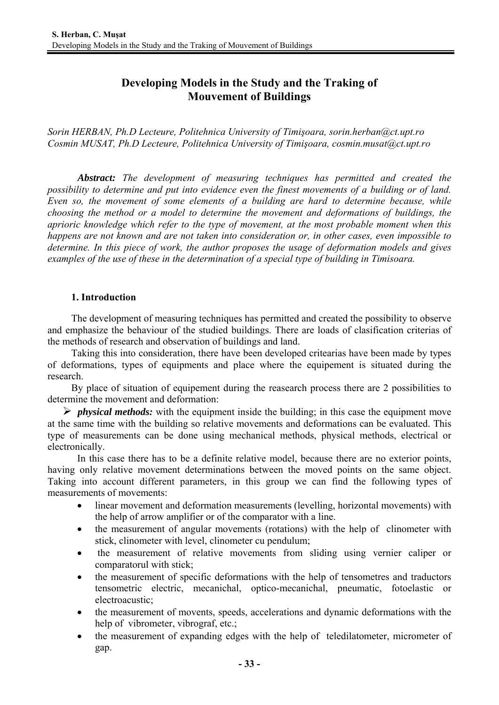# **Developing Models in the Study and the Traking of Mouvement of Buildings**

*Sorin HERBAN, Ph.D Lecteure, Politehnica University of Timişoara, sorin.herban@ct.upt.ro Cosmin MUSAT, Ph.D Lecteure, Politehnica University of Timişoara, cosmin.musat@ct.upt.ro* 

*Abstract: The development of measuring techniques has permitted and created the possibility to determine and put into evidence even the finest movements of a building or of land. Even so, the movement of some elements of a building are hard to determine because, while choosing the method or a model to determine the movement and deformations of buildings, the aprioric knowledge which refer to the type of movement, at the most probable moment when this happens are not known and are not taken into consideration or, in other cases, even impossible to determine. In this piece of work, the author proposes the usage of deformation models and gives examples of the use of these in the determination of a special type of building in Timisoara.*

# **1. Introduction**

 The development of measuring techniques has permitted and created the possibility to observe and emphasize the behaviour of the studied buildings. There are loads of clasification criterias of the methods of research and observation of buildings and land.

 Taking this into consideration, there have been developed critearias have been made by types of deformations, types of equipments and place where the equipement is situated during the research.

 By place of situation of equipement during the reasearch process there are 2 possibilities to determine the movement and deformation:

 $\triangleright$  *physical methods:* with the equipment inside the building; in this case the equipment move at the same time with the building so relative movements and deformations can be evaluated. This type of measurements can be done using mechanical methods, physical methods, electrical or electronically.

In this case there has to be a definite relative model, because there are no exterior points, having only relative movement determinations between the moved points on the same object. Taking into account different parameters, in this group we can find the following types of measurements of movements:

- linear movement and deformation measurements (levelling, horizontal movements) with the help of arrow amplifier or of the comparator with a line.
- the measurement of angular movements (rotations) with the help of clinometer with stick, clinometer with level, clinometer cu pendulum;
- the measurement of relative movements from sliding using vernier caliper or comparatorul with stick;
- the measurement of specific deformations with the help of tensometres and traductors tensometric electric, mecanichal, optico-mecanichal, pneumatic, fotoelastic or electroacustic;
- the measurement of movents, speeds, accelerations and dynamic deformations with the help of vibrometer, vibrograf, etc.;
- the measurement of expanding edges with the help of teledilatometer, micrometer of gap.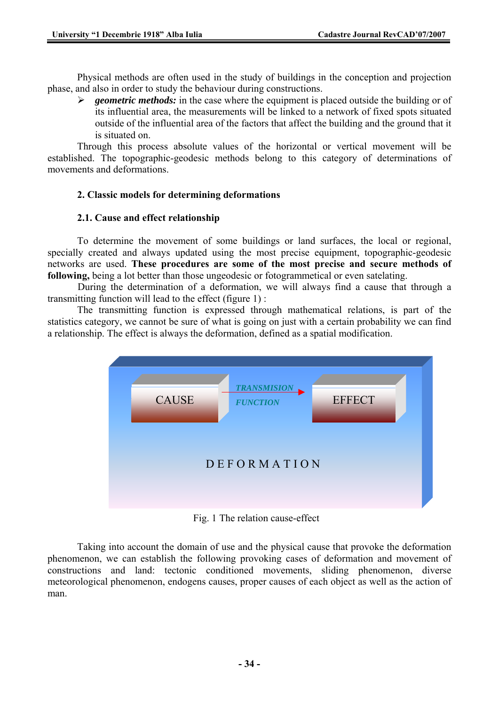Physical methods are often used in the study of buildings in the conception and projection phase, and also in order to study the behaviour during constructions.

¾ *geometric methods:* in the case where the equipment is placed outside the building or of its influential area, the measurements will be linked to a network of fixed spots situated outside of the influential area of the factors that affect the building and the ground that it is situated on.

Through this process absolute values of the horizontal or vertical movement will be established. The topographic-geodesic methods belong to this category of determinations of movements and deformations.

# **2. Classic models for determining deformations**

# **2.1. Cause and effect relationship**

To determine the movement of some buildings or land surfaces, the local or regional, specially created and always updated using the most precise equipment, topographic-geodesic networks are used. **These procedures are some of the most precise and secure methods of following,** being a lot better than those ungeodesic or fotogrammetical or even satelating.

 During the determination of a deformation, we will always find a cause that through a transmitting function will lead to the effect (figure 1) :

The transmitting function is expressed through mathematical relations, is part of the statistics category, we cannot be sure of what is going on just with a certain probability we can find a relationship. The effect is always the deformation, defined as a spatial modification.



Fig. 1 The relation cause-effect

Taking into account the domain of use and the physical cause that provoke the deformation phenomenon, we can establish the following provoking cases of deformation and movement of constructions and land: tectonic conditioned movements, sliding phenomenon, diverse meteorological phenomenon, endogens causes, proper causes of each object as well as the action of man.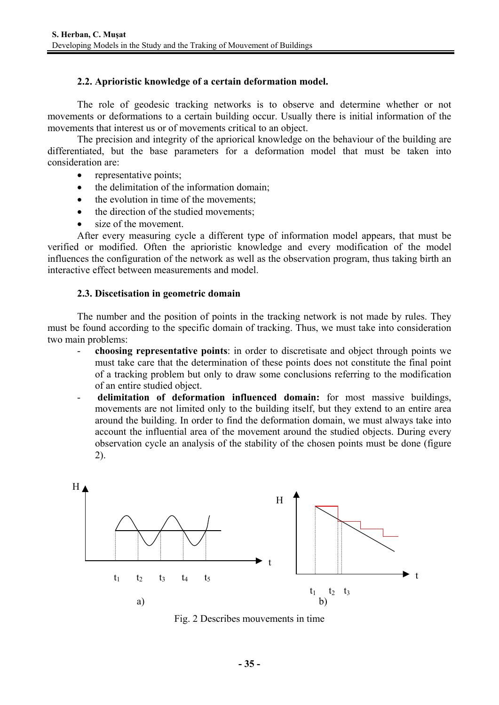### **2.2. Aprioristic knowledge of a certain deformation model.**

The role of geodesic tracking networks is to observe and determine whether or not movements or deformations to a certain building occur. Usually there is initial information of the movements that interest us or of movements critical to an object.

The precision and integrity of the apriorical knowledge on the behaviour of the building are differentiated, but the base parameters for a deformation model that must be taken into consideration are:

- representative points;
- the delimitation of the information domain;
- the evolution in time of the movements:
- the direction of the studied movements:
- size of the movement.

After every measuring cycle a different type of information model appears, that must be verified or modified. Often the aprioristic knowledge and every modification of the model influences the configuration of the network as well as the observation program, thus taking birth an interactive effect between measurements and model.

#### **2.3. Discetisation in geometric domain**

The number and the position of points in the tracking network is not made by rules. They must be found according to the specific domain of tracking. Thus, we must take into consideration two main problems:

- **choosing representative points**: in order to discretisate and object through points we must take care that the determination of these points does not constitute the final point of a tracking problem but only to draw some conclusions referring to the modification of an entire studied object.
- **delimitation of deformation influenced domain:** for most massive buildings, movements are not limited only to the building itself, but they extend to an entire area around the building. In order to find the deformation domain, we must always take into account the influential area of the movement around the studied objects. During every observation cycle an analysis of the stability of the chosen points must be done (figure 2).



Fig. 2 Describes mouvements in time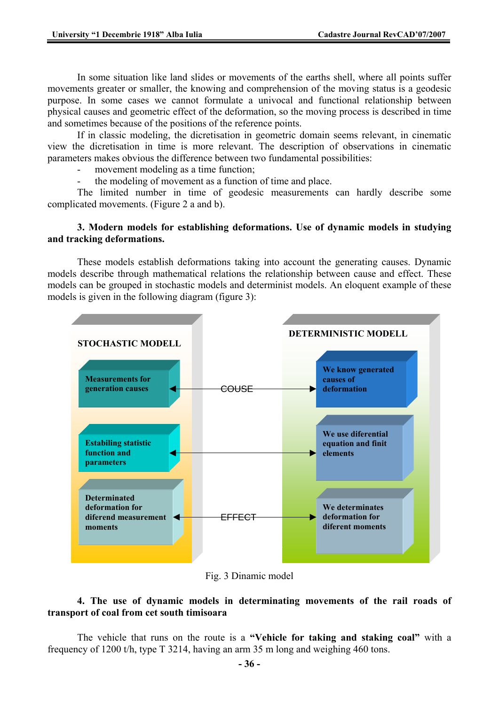In some situation like land slides or movements of the earths shell, where all points suffer movements greater or smaller, the knowing and comprehension of the moving status is a geodesic purpose. In some cases we cannot formulate a univocal and functional relationship between physical causes and geometric effect of the deformation, so the moving process is described in time and sometimes because of the positions of the reference points.

If in classic modeling, the dicretisation in geometric domain seems relevant, in cinematic view the dicretisation in time is more relevant. The description of observations in cinematic parameters makes obvious the difference between two fundamental possibilities:

movement modeling as a time function;

the modeling of movement as a function of time and place.

The limited number in time of geodesic measurements can hardly describe some complicated movements. (Figure 2 a and b).

### **3. Modern models for establishing deformations. Use of dynamic models in studying and tracking deformations.**

These models establish deformations taking into account the generating causes. Dynamic models describe through mathematical relations the relationship between cause and effect. These models can be grouped in stochastic models and determinist models. An eloquent example of these models is given in the following diagram (figure 3):



Fig. 3 Dinamic model

# **4. The use of dynamic models in determinating movements of the rail roads of transport of coal from cet south timisoara**

The vehicle that runs on the route is a **"Vehicle for taking and staking coal"** with a frequency of 1200 t/h, type T 3214, having an arm 35 m long and weighing 460 tons.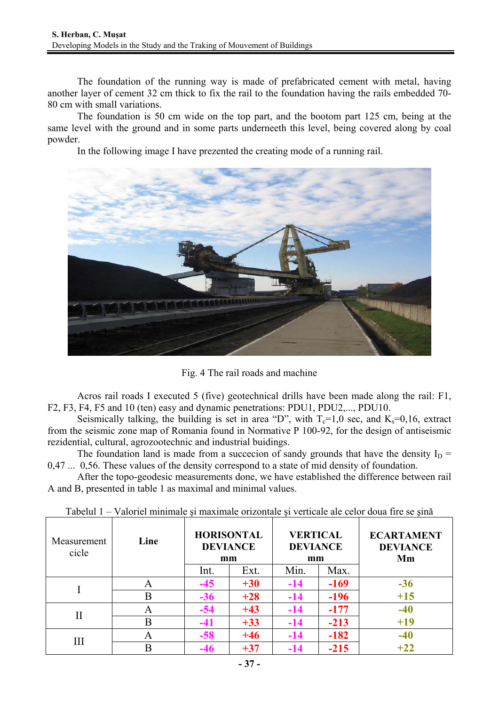The foundation of the running way is made of prefabricated cement with metal, having another layer of cement 32 cm thick to fix the rail to the foundation having the rails embedded 70- 80 cm with small variations.

The foundation is 50 cm wide on the top part, and the bootom part 125 cm, being at the same level with the ground and in some parts underneeth this level, being covered along by coal powder.

In the following image I have prezented the creating mode of a running rail.



Fig. 4 The rail roads and machine

Acros rail roads I executed 5 (five) geotechnical drills have been made along the rail: F1, F2, F3, F4, F5 and 10 (ten) easy and dynamic penetrations: PDU1, PDU2,..., PDU10.

Seismically talking, the building is set in area "D", with  $T_c=1.0$  sec, and  $K_s=0.16$ , extract from the seismic zone map of Romania found in Normative P 100-92, for the design of antiseismic rezidential, cultural, agrozootechnic and industrial buidings.

The foundation land is made from a succecion of sandy grounds that have the density  $I_D$  = 0,47 ... 0,56. These values of the density correspond to a state of mid density of foundation.

After the topo-geodesic measurements done, we have established the difference between rail A and B, presented in table 1 as maximal and minimal values.

| Measurement<br>cicle | Line | <b>HORISONTAL</b><br><b>DEVIANCE</b><br>mm |       | <b>VERTICAL</b><br><b>DEVIANCE</b><br>mm |        | <b>ECARTAMENT</b><br><b>DEVIANCE</b><br>Mm |
|----------------------|------|--------------------------------------------|-------|------------------------------------------|--------|--------------------------------------------|
|                      |      | Int.                                       | Ext.  | Min.                                     | Max.   |                                            |
|                      | A    | $-45$                                      | $+30$ | $-14$                                    | $-169$ | $-36$                                      |
|                      | B    | $-36$                                      | $+28$ | $-14$                                    | $-196$ | $+15$                                      |
| $\rm II$             | А    | $-54$                                      | $+43$ | $-14$                                    | $-177$ | $-40$                                      |
|                      | B    | -41                                        | $+33$ | $-14$                                    | $-213$ | $+19$                                      |
| Ш                    | A    | $-58$                                      | $+46$ | $-14$                                    | $-182$ | $-40$                                      |
|                      | В    | -46                                        | $+37$ | -14                                      | $-215$ | $+22$                                      |

Tabelul 1 – Valoriel minimale şi maximale orizontale şi verticale ale celor doua fire se şină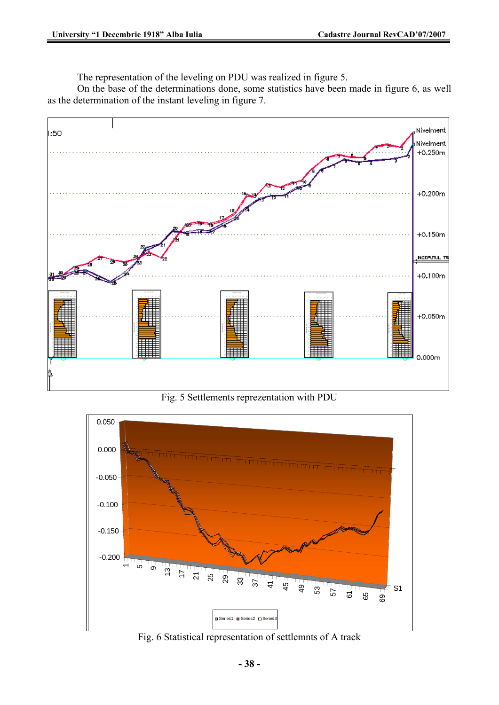The representation of the leveling on PDU was realized in figure 5.

On the base of the determinations done, some statistics have been made in figure 6, as well as the determination of the instant leveling in figure 7.



Fig. 5 Settlements reprezentation with PDU



Fig. 6 Statistical representation of settlemnts of A track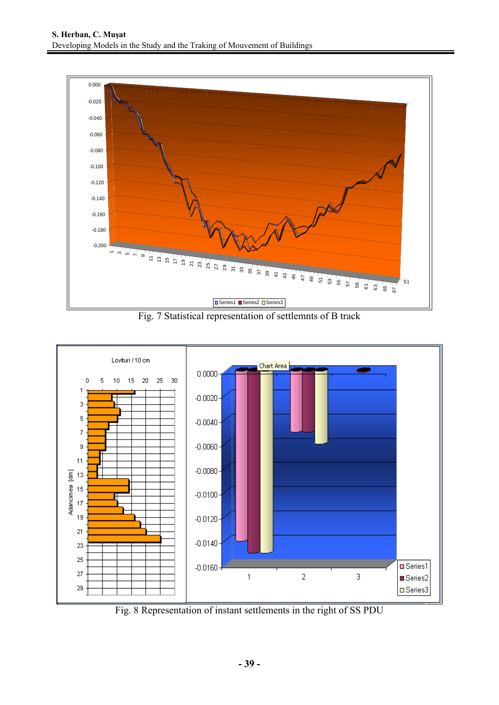

Fig. 7 Statistical representation of settlemnts of B track



Fig. 8 Representation of instant settlements in the right of SS PDU